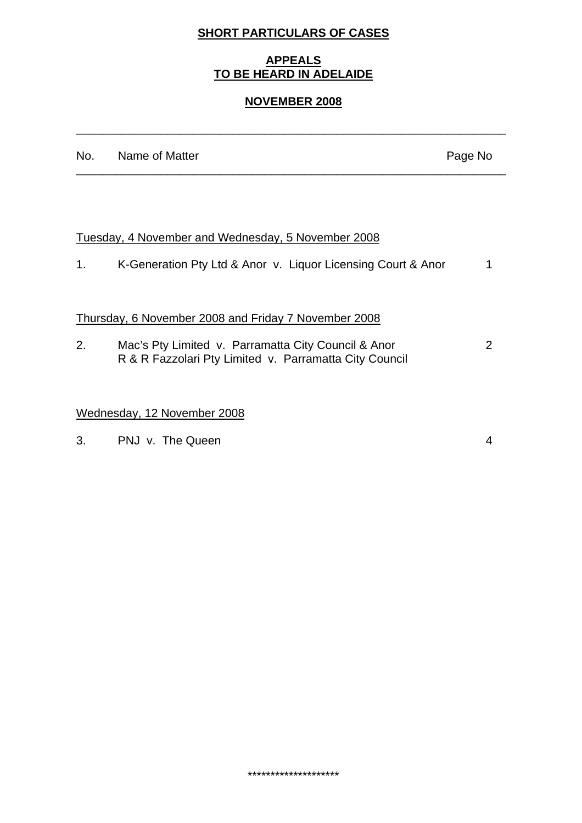# **SHORT PARTICULARS OF CASES**

## **APPEALS TO BE HEARD IN ADELAIDE**

#### **NOVEMBER 2008**

\_\_\_\_\_\_\_\_\_\_\_\_\_\_\_\_\_\_\_\_\_\_\_\_\_\_\_\_\_\_\_\_\_\_\_\_\_\_\_\_\_\_\_\_\_\_\_\_\_\_\_\_\_\_\_\_\_\_\_\_\_\_\_\_\_\_

|    | No. Name of Matter                                                                                            | Page No       |
|----|---------------------------------------------------------------------------------------------------------------|---------------|
|    |                                                                                                               |               |
|    | Tuesday, 4 November and Wednesday, 5 November 2008                                                            |               |
| 1. | K-Generation Pty Ltd & Anor v. Liquor Licensing Court & Anor                                                  |               |
|    | Thursday, 6 November 2008 and Friday 7 November 2008                                                          |               |
| 2. | Mac's Pty Limited v. Parramatta City Council & Anor<br>R & R Fazzolari Pty Limited v. Parramatta City Council | $\mathcal{P}$ |
|    | Wednesday, 12 November 2008                                                                                   |               |
| 3. | PNJ v. The Queen                                                                                              |               |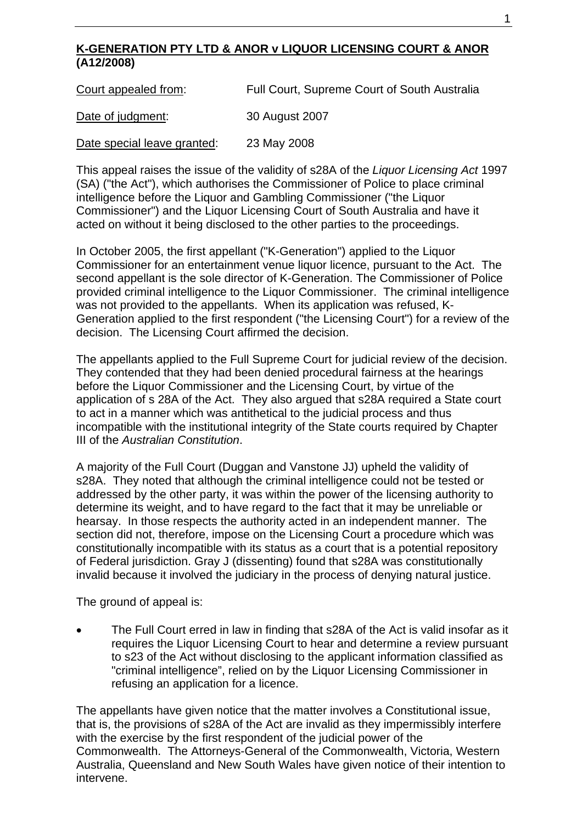### **K-GENERATION PTY LTD & ANOR v LIQUOR LICENSING COURT & ANOR (A12/2008)**

Court appealed from:Full Court, Supreme Court of South Australia

Date of judgment: 30 August 2007

Date special leave granted: 23 May 2008

This appeal raises the issue of the validity of s28A of the *Liquor Licensing Act* 1997 (SA) ("the Act"), which authorises the Commissioner of Police to place criminal intelligence before the Liquor and Gambling Commissioner ("the Liquor Commissioner") and the Liquor Licensing Court of South Australia and have it acted on without it being disclosed to the other parties to the proceedings.

In October 2005, the first appellant ("K-Generation") applied to the Liquor Commissioner for an entertainment venue liquor licence, pursuant to the Act. The second appellant is the sole director of K-Generation. The Commissioner of Police provided criminal intelligence to the Liquor Commissioner. The criminal intelligence was not provided to the appellants. When its application was refused, K-Generation applied to the first respondent ("the Licensing Court") for a review of the decision. The Licensing Court affirmed the decision.

The appellants applied to the Full Supreme Court for judicial review of the decision. They contended that they had been denied procedural fairness at the hearings before the Liquor Commissioner and the Licensing Court, by virtue of the application of s 28A of the Act. They also argued that s28A required a State court to act in a manner which was antithetical to the judicial process and thus incompatible with the institutional integrity of the State courts required by Chapter III of the *Australian Constitution*.

A majority of the Full Court (Duggan and Vanstone JJ) upheld the validity of s28A. They noted that although the criminal intelligence could not be tested or addressed by the other party, it was within the power of the licensing authority to determine its weight, and to have regard to the fact that it may be unreliable or hearsay. In those respects the authority acted in an independent manner. The section did not, therefore, impose on the Licensing Court a procedure which was constitutionally incompatible with its status as a court that is a potential repository of Federal jurisdiction. Gray J (dissenting) found that s28A was constitutionally invalid because it involved the judiciary in the process of denying natural justice.

The ground of appeal is:

• The Full Court erred in law in finding that s28A of the Act is valid insofar as it requires the Liquor Licensing Court to hear and determine a review pursuant to s23 of the Act without disclosing to the applicant information classified as "criminal intelligence", relied on by the Liquor Licensing Commissioner in refusing an application for a licence.

The appellants have given notice that the matter involves a Constitutional issue, that is, the provisions of s28A of the Act are invalid as they impermissibly interfere with the exercise by the first respondent of the judicial power of the Commonwealth. The Attorneys-General of the Commonwealth, Victoria, Western Australia, Queensland and New South Wales have given notice of their intention to intervene.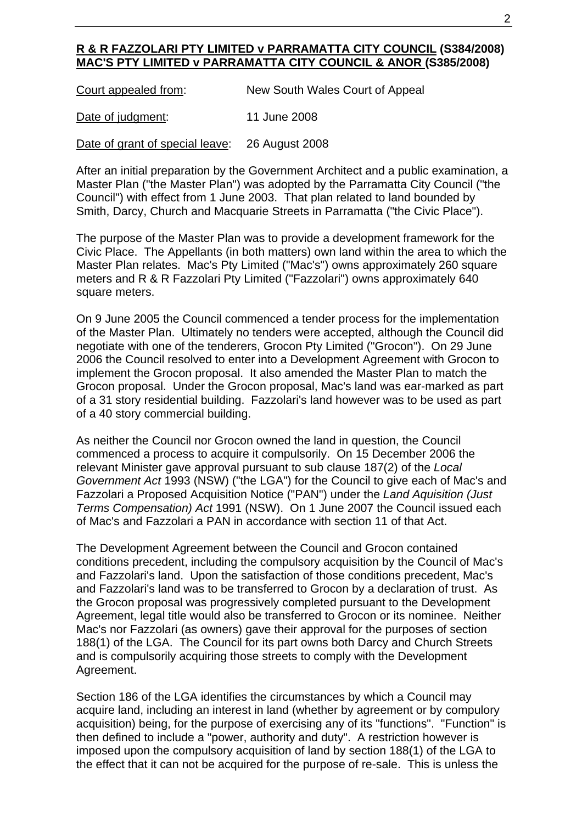#### **R & R FAZZOLARI PTY LIMITED v PARRAMATTA CITY COUNCIL (S384/2008) MAC'S PTY LIMITED v PARRAMATTA CITY COUNCIL & ANOR (S385/2008)**

| Court appealed from: | New South Wales Court of Appeal |
|----------------------|---------------------------------|
|----------------------|---------------------------------|

Date of judgment: 11 June 2008

Date of grant of special leave: 26 August 2008

After an initial preparation by the Government Architect and a public examination, a Master Plan ("the Master Plan") was adopted by the Parramatta City Council ("the Council") with effect from 1 June 2003. That plan related to land bounded by Smith, Darcy, Church and Macquarie Streets in Parramatta ("the Civic Place").

The purpose of the Master Plan was to provide a development framework for the Civic Place. The Appellants (in both matters) own land within the area to which the Master Plan relates. Mac's Pty Limited ("Mac's") owns approximately 260 square meters and R & R Fazzolari Pty Limited ("Fazzolari") owns approximately 640 square meters.

On 9 June 2005 the Council commenced a tender process for the implementation of the Master Plan. Ultimately no tenders were accepted, although the Council did negotiate with one of the tenderers, Grocon Pty Limited ("Grocon"). On 29 June 2006 the Council resolved to enter into a Development Agreement with Grocon to implement the Grocon proposal. It also amended the Master Plan to match the Grocon proposal. Under the Grocon proposal, Mac's land was ear-marked as part of a 31 story residential building. Fazzolari's land however was to be used as part of a 40 story commercial building.

As neither the Council nor Grocon owned the land in question, the Council commenced a process to acquire it compulsorily. On 15 December 2006 the relevant Minister gave approval pursuant to sub clause 187(2) of the *Local Government Act* 1993 (NSW) ("the LGA") for the Council to give each of Mac's and Fazzolari a Proposed Acquisition Notice ("PAN") under the *Land Aquisition (Just Terms Compensation) Act* 1991 (NSW). On 1 June 2007 the Council issued each of Mac's and Fazzolari a PAN in accordance with section 11 of that Act.

The Development Agreement between the Council and Grocon contained conditions precedent, including the compulsory acquisition by the Council of Mac's and Fazzolari's land. Upon the satisfaction of those conditions precedent, Mac's and Fazzolari's land was to be transferred to Grocon by a declaration of trust. As the Grocon proposal was progressively completed pursuant to the Development Agreement, legal title would also be transferred to Grocon or its nominee. Neither Mac's nor Fazzolari (as owners) gave their approval for the purposes of section 188(1) of the LGA. The Council for its part owns both Darcy and Church Streets and is compulsorily acquiring those streets to comply with the Development Agreement.

Section 186 of the LGA identifies the circumstances by which a Council may acquire land, including an interest in land (whether by agreement or by compulory acquisition) being, for the purpose of exercising any of its "functions". "Function" is then defined to include a "power, authority and duty". A restriction however is imposed upon the compulsory acquisition of land by section 188(1) of the LGA to the effect that it can not be acquired for the purpose of re-sale. This is unless the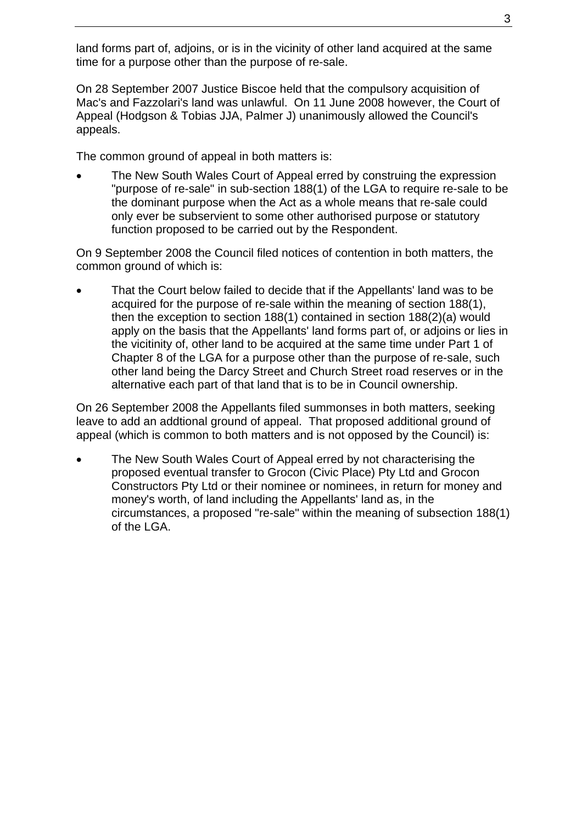land forms part of, adjoins, or is in the vicinity of other land acquired at the same time for a purpose other than the purpose of re-sale.

On 28 September 2007 Justice Biscoe held that the compulsory acquisition of Mac's and Fazzolari's land was unlawful. On 11 June 2008 however, the Court of Appeal (Hodgson & Tobias JJA, Palmer J) unanimously allowed the Council's appeals.

The common ground of appeal in both matters is:

The New South Wales Court of Appeal erred by construing the expression "purpose of re-sale" in sub-section 188(1) of the LGA to require re-sale to be the dominant purpose when the Act as a whole means that re-sale could only ever be subservient to some other authorised purpose or statutory function proposed to be carried out by the Respondent.

On 9 September 2008 the Council filed notices of contention in both matters, the common ground of which is:

• That the Court below failed to decide that if the Appellants' land was to be acquired for the purpose of re-sale within the meaning of section 188(1), then the exception to section 188(1) contained in section 188(2)(a) would apply on the basis that the Appellants' land forms part of, or adjoins or lies in the vicitinity of, other land to be acquired at the same time under Part 1 of Chapter 8 of the LGA for a purpose other than the purpose of re-sale, such other land being the Darcy Street and Church Street road reserves or in the alternative each part of that land that is to be in Council ownership.

On 26 September 2008 the Appellants filed summonses in both matters, seeking leave to add an addtional ground of appeal. That proposed additional ground of appeal (which is common to both matters and is not opposed by the Council) is:

The New South Wales Court of Appeal erred by not characterising the proposed eventual transfer to Grocon (Civic Place) Pty Ltd and Grocon Constructors Pty Ltd or their nominee or nominees, in return for money and money's worth, of land including the Appellants' land as, in the circumstances, a proposed "re-sale" within the meaning of subsection 188(1) of the LGA.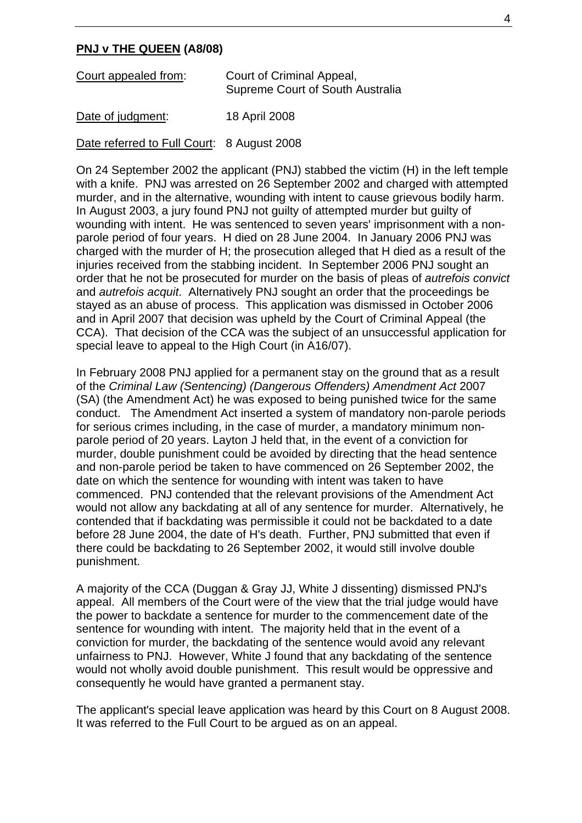#### **PNJ v THE QUEEN (A8/08)**

| Court appealed from: | Court of Criminal Appeal,<br><b>Supreme Court of South Australia</b> |
|----------------------|----------------------------------------------------------------------|
| Date of judgment:    | 18 April 2008                                                        |

Date referred to Full Court: 8 August 2008

On 24 September 2002 the applicant (PNJ) stabbed the victim (H) in the left temple with a knife. PNJ was arrested on 26 September 2002 and charged with attempted murder, and in the alternative, wounding with intent to cause grievous bodily harm. In August 2003, a jury found PNJ not guilty of attempted murder but guilty of wounding with intent. He was sentenced to seven years' imprisonment with a nonparole period of four years. H died on 28 June 2004. In January 2006 PNJ was charged with the murder of H; the prosecution alleged that H died as a result of the injuries received from the stabbing incident. In September 2006 PNJ sought an order that he not be prosecuted for murder on the basis of pleas of *autrefois convict* and *autrefois acquit*. Alternatively PNJ sought an order that the proceedings be stayed as an abuse of process. This application was dismissed in October 2006 and in April 2007 that decision was upheld by the Court of Criminal Appeal (the CCA). That decision of the CCA was the subject of an unsuccessful application for special leave to appeal to the High Court (in A16/07).

In February 2008 PNJ applied for a permanent stay on the ground that as a result of the *Criminal Law (Sentencing) (Dangerous Offenders) Amendment Act* 2007 (SA) (the Amendment Act) he was exposed to being punished twice for the same conduct. The Amendment Act inserted a system of mandatory non-parole periods for serious crimes including, in the case of murder, a mandatory minimum nonparole period of 20 years. Layton J held that, in the event of a conviction for murder, double punishment could be avoided by directing that the head sentence and non-parole period be taken to have commenced on 26 September 2002, the date on which the sentence for wounding with intent was taken to have commenced. PNJ contended that the relevant provisions of the Amendment Act would not allow any backdating at all of any sentence for murder. Alternatively, he contended that if backdating was permissible it could not be backdated to a date before 28 June 2004, the date of H's death. Further, PNJ submitted that even if there could be backdating to 26 September 2002, it would still involve double punishment.

A majority of the CCA (Duggan & Gray JJ, White J dissenting) dismissed PNJ's appeal. All members of the Court were of the view that the trial judge would have the power to backdate a sentence for murder to the commencement date of the sentence for wounding with intent. The majority held that in the event of a conviction for murder, the backdating of the sentence would avoid any relevant unfairness to PNJ. However, White J found that any backdating of the sentence would not wholly avoid double punishment. This result would be oppressive and consequently he would have granted a permanent stay.

The applicant's special leave application was heard by this Court on 8 August 2008. It was referred to the Full Court to be argued as on an appeal.